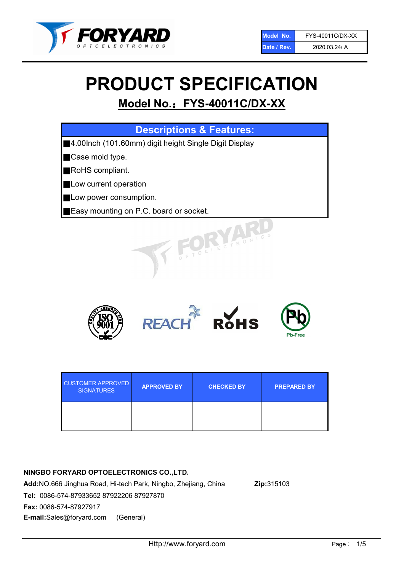

# PRODUCT SPECIFICATION

# Model No.: FYS-40011C/DX-XX

| <b>Descriptions &amp; Features:</b>                    |
|--------------------------------------------------------|
| ■4.00lnch (101.60mm) digit height Single Digit Display |
| Case mold type.                                        |
| RoHS compliant.                                        |
| Low current operation                                  |
| Low power consumption.                                 |
| Easy mounting on P.C. board or socket.                 |
| TOELECTRONIC                                           |



| <b>CUSTOMER APPROVED</b><br><b>SIGNATURES</b> | <b>APPROVED BY</b> | <b>CHECKED BY</b> | <b>PREPARED BY</b> |
|-----------------------------------------------|--------------------|-------------------|--------------------|
|                                               |                    |                   |                    |

# NINGBO FORYARD OPTOELECTRONICS CO.,LTD.

Add:NO.666 Jinghua Road, Hi-tech Park, Ningbo, Zhejiang, China Zip:315103 Tel: 0086-574-87933652 87922206 87927870 Fax: 0086-574-87927917 E-mail:Sales@foryard.com (General)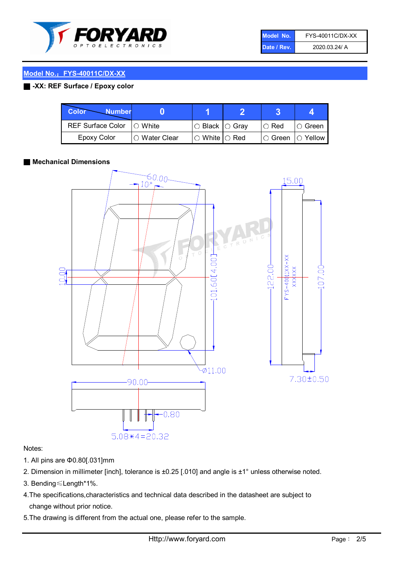

| Model No.   | FYS-40011C/DX-XX |
|-------------|------------------|
| Date / Rev. | 2020.03.24/ A    |

# Model No.: FYS-40011C/DX-XX

# ■ -XX: REF Surface / Epoxy color

| <b>Color</b><br><b>Number</b> |                 |                           |             | д              |
|-------------------------------|-----------------|---------------------------|-------------|----------------|
| <b>REF Surface Color</b>      | $\bigcap$ White | ○ Black  ○ Gray           | $\circ$ Red | IO Green       |
| <b>Epoxy Color</b>            | ○ Water Clear   | $\circ$ White $\circ$ Red | I⊖ Green    | $\circ$ Yellow |

#### ■ Mechanical Dimensions



### Notes:

- 1. All pins are Φ0.80[.031]mm
- 2. Dimension in millimeter [inch], tolerance is ±0.25 [.010] and angle is ±1° unless otherwise noted.
- 3. Bending≤Length\*1%.
- 4.The specifications,characteristics and technical data described in the datasheet are subject to change without prior notice.
- 5.The drawing is different from the actual one, please refer to the sample.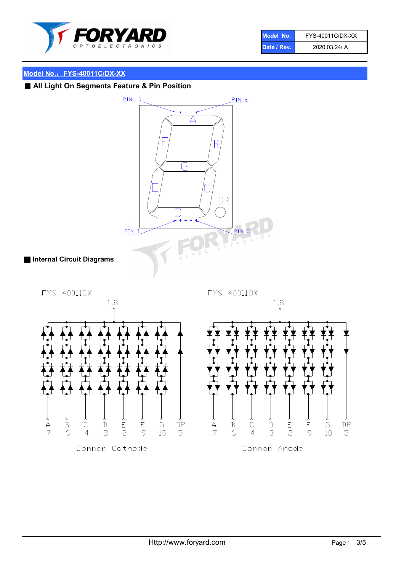

| Model No.   | FYS-40011C/DX-XX |
|-------------|------------------|
| Date / Rev. | 2020.03.24/ A    |

# Model No.: FYS-40011C/DX-XX

■ All Light On Segments Feature & Pin Position

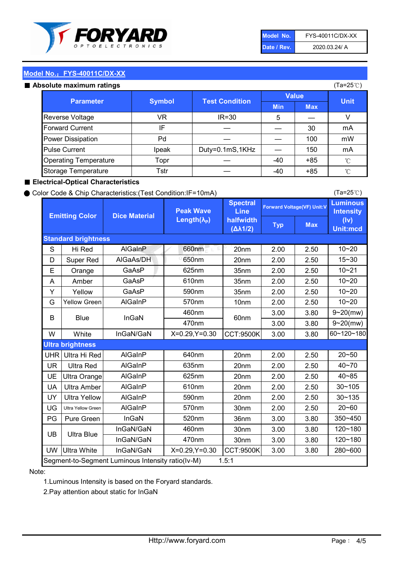

| Model No.   | FYS-40011C/DX-XX |
|-------------|------------------|
| Date / Rev. | 2020.03.24/ A    |

(Ta=25℃)

# Model No.: FYS-40011C/DX-XX

| Absolute maximum ratings     |               |                       |              |            | (Ta=25℃)    |
|------------------------------|---------------|-----------------------|--------------|------------|-------------|
| <b>Parameter</b>             | <b>Symbol</b> | <b>Test Condition</b> | <b>Value</b> |            | <b>Unit</b> |
|                              |               |                       | <b>Min</b>   | <b>Max</b> |             |
| Reverse Voltage              | VR            | $IR = 30$             | 5            |            | V           |
| <b>Forward Current</b>       | IF            |                       |              | 30         | mA          |
| Power Dissipation            | Pd            |                       |              | 100        | mW          |
| <b>Pulse Current</b>         | Ipeak         | Duty=0.1mS,1KHz       |              | 150        | mA          |
| <b>Operating Temperature</b> | Topr          |                       | -40          | $+85$      | °C          |
| Storage Temperature          | Tstr          |                       | $-40$        | $+85$      | °C          |

#### ■ Electrical-Optical Characteristics

#### ● Color Code & Chip Characteristics:(Test Condition:IF=10mA)

Typ Max S | Hi $\textsf{Red}$  | AlGaInP | 660nm LE 20nm | 2.00 | 2.50 D | Super Red | AIGaAs/DH | 650nm | 20nm | 2.00 | 2.50 E | Orange | GaAsP | 625nm | 35nm | 2.00 | 2.50 A | Amber | GaAsP | 610nm | 35nm | 2.00 | 2.50 Y | Yellow | GaAsP | 590nm | 35nm | 2.00 | 2.50 G Yellow Green AIGaInP | 570nm | 10nm | 2.00 | 2.50 3.00 3.80 3.00 3.80 W | White | InGaN/GaN | X=0.29,Y=0.30 |CCT:9500K| 3.00 | 3.80 UHR Ultra Hi Red  $\vert$  AIGaInP  $\vert$  640nm  $\vert$  20nm  $\vert$  2.00  $\vert$  2.50 UR | Ultra Red | AlGaInP | 635nm | 20nm | 2.00 | 2.50 UE Ultra Orange | AIGaInP | 625nm | 20nm | 2.00 | 2.50 UA Ultra Amber | AIGaInP | 610nm | 20nm | 2.00 | 2.50  $UV$  Ultra Yellow  $\vert$  AlGaInP  $\vert$  590nm  $\vert$  20nm  $\vert$  2.00  $\vert$  2.50  $\text{UG}$  Ultra Yellow Green | AIGaInP | 570nm | 30nm | 2.00 | 2.50 PG Pure Green | InGaN | 520nm | 36nm | 3.00 | 3.80 30nm 3.00 3.80 30nm 3.00 3.80 UW |Ultra White | InGaN/GaN | X=0.29,Y=0.30 |CCT:9500K| 3.00 | 3.80 40~85 60~120~180 40~70 Segment-to-Segment Luminous Intensity ratio(Iv-M) 1.5:1 610nm 9~20(mw) 350~450 470nm 120~180 120~180 Ultra Blue InGaN/GaN InGaN/GaN 9~20(mw) 20~50 280~600 570nm | 30nm | 2.00 | 2.50 | 20~60 470nm 590nm InGaN/GaN B Blue I InGaN 570nm | 10nm | 2.00 | 2.50 | 10~20 30~105 30~135 460nm 520nm Ultra brightness **AlGaInP** AlGaInP 60nm AlGaInP 640nm Peak Wave Length $(\lambda_{\rm P})$ UB 460nm 635nm AlGaInP AlGaInP AlGaInP InGaN/GaN AlGaInP 10~20 Luminous **Intensity** (Iv) Unit:mcd AlGainP 660nm GaAsP GaAsP AlGaAs/DH **Spectral** Line halfwidth (∆λ1/2) 10~20 Standard brightness Forward Voltage(VF) Unit:V 15~30 10~20 625nm GaAsP 590nm **Emitting Color Dice Material** 10~21 610nm

#### Note:

1.Luminous Intensity is based on the Foryard standards.

2.Pay attention about static for InGaN